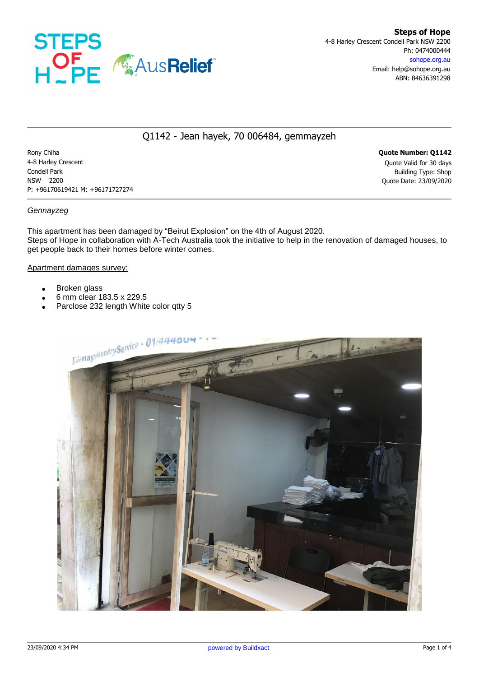

# Q1142 - Jean hayek, 70 006484, gemmayzeh

Rony Chiha **Quote Number: Q1142** 4-8 Harley Crescent Quote Valid for 30 days Condell Park Building Type: Shop NSW 2200 Quote Date: 23/09/2020 P: +96170619421 M: +96171727274

## *Gennayzeg*

This apartment has been damaged by "Beirut Explosion" on the 4th of August 2020. Steps of Hope in collaboration with A-Tech Australia took the initiative to help in the renovation of damaged houses, to get people back to their homes before winter comes.

### Apartment damages survey:

- Broken glass
- 6 mm clear 183.5 x 229.5
- Parclose 232 length White color qtty 5

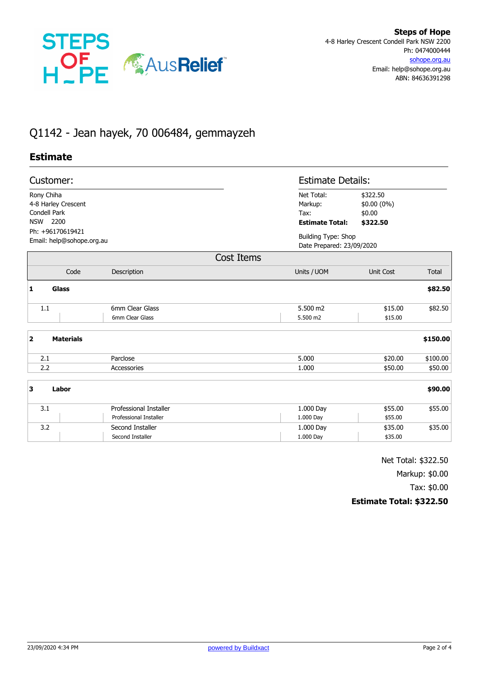

# Q1142 - Jean hayek, 70 006484, gemmayzeh

## **Estimate**

| Customer:                                                               |                                    |                                                         | <b>Estimate Details:</b>                                |              |  |
|-------------------------------------------------------------------------|------------------------------------|---------------------------------------------------------|---------------------------------------------------------|--------------|--|
| Rony Chiha<br>4-8 Harley Crescent<br>Condell Park<br><b>NSW</b><br>2200 |                                    | Net Total:<br>Markup:<br>Tax:<br><b>Estimate Total:</b> | \$322.50<br>\$0.00 (0%)<br>\$0.00<br>\$322.50           |              |  |
| Ph: +96170619421<br>Email: help@sohope.org.au                           |                                    |                                                         | <b>Building Type: Shop</b><br>Date Prepared: 23/09/2020 |              |  |
|                                                                         |                                    | Cost Items                                              |                                                         |              |  |
| Code                                                                    | Description                        | Units / UOM                                             | <b>Unit Cost</b>                                        | <b>Total</b> |  |
| 1<br><b>Glass</b>                                                       |                                    |                                                         |                                                         | \$82.50      |  |
| $1.1\,$                                                                 | 6mm Clear Glass<br>6mm Clear Glass | 5.500 m2<br>5.500 m2                                    | \$15.00<br>\$15.00                                      | \$82.50      |  |
| $\overline{\mathbf{2}}$<br><b>Materials</b>                             |                                    |                                                         |                                                         | \$150.00     |  |
| 2.1                                                                     | Parclose                           | 5.000                                                   | \$20.00                                                 | \$100.00     |  |
| 2.2                                                                     | Accessories                        | 1.000                                                   | \$50.00                                                 | \$50.00      |  |
| 3<br>Labor                                                              |                                    |                                                         |                                                         | \$90.00      |  |
| 3.1                                                                     | <b>Professional Installer</b>      | 1.000 Day                                               | \$55.00                                                 | \$55.00      |  |
|                                                                         | Professional Installer             | 1.000 Day                                               | \$55.00                                                 |              |  |
| 3.2                                                                     | Second Installer                   | 1.000 Day                                               | \$35.00                                                 | \$35.00      |  |
|                                                                         | Second Installer                   | 1.000 Day                                               | \$35.00                                                 |              |  |

Net Total: \$322.50

Markup: \$0.00

Tax: \$0.00

## **Estimate Total: \$322.50**